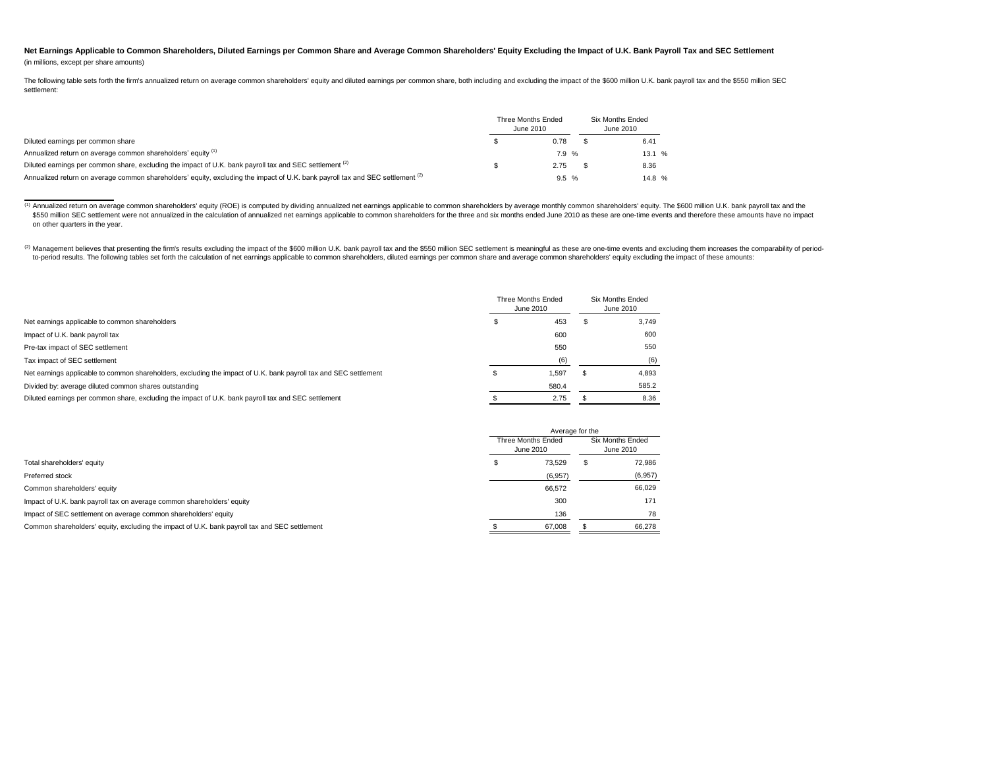## Net Earnings Applicable to Common Shareholders, Diluted Earnings per Common Share and Average Common Shareholders' Equity Excluding the Impact of U.K. Bank Payroll Tax and SEC Settlement (in millions, except per share amounts)

The following table sets forth the firm's annualized return on average common shareholders' equity and diluted earnings per common share, both including and excluding the impact of the \$600 million U.K. bank payroll tax an settlement:

|                                                                                                                                           | Three Months Ended<br>June 2010 | Six Months Ended<br>June 2010 |  |       |
|-------------------------------------------------------------------------------------------------------------------------------------------|---------------------------------|-------------------------------|--|-------|
| Diluted earnings per common share                                                                                                         |                                 | 0.78                          |  | 6.41  |
| Annualized return on average common shareholders' equity (1)                                                                              |                                 | 7.9 %                         |  | 13.1% |
| Diluted earnings per common share, excluding the impact of U.K. bank payroll tax and SEC settlement (2)                                   |                                 | 2.75                          |  | 8.36  |
| Annualized return on average common shareholders' equity, excluding the impact of U.K. bank payroll tax and SEC settlement <sup>(2)</sup> |                                 | 9.5%                          |  | 14.8% |

<sup>(1)</sup> Annualized return on average common shareholders' equity (ROE) is computed by dividing annualized net earnings applicable to common shareholders by average monthly common shareholders' equity. The \$600 million U.K. b \$550 million SEC settlement were not annualized in the calculation of annualized net earnings applicable to common shareholders for the three and six months ended June 2010 as these are one-time events and therefore these on other quarters in the year.

(2) Management believes that presenting the firm's results excluding the impact of the \$600 million U.K. bank payroll tax and the \$550 million SEC settlement is meaningful as these are one-time events and excluding them in to-period results. The following tables set forth the calculation of net earnings applicable to common shareholders, diluted earnings per common share and average common shareholders' equity excluding the impact of these a

|                                                                                                                  | Three Months Ended<br>June 2010 | <b>Six Months Ended</b><br>June 2010 |    |       |
|------------------------------------------------------------------------------------------------------------------|---------------------------------|--------------------------------------|----|-------|
| Net earnings applicable to common shareholders                                                                   |                                 | 453                                  |    | 3,749 |
| Impact of U.K. bank payroll tax                                                                                  |                                 | 600                                  |    | 600   |
| Pre-tax impact of SEC settlement                                                                                 |                                 | 550                                  |    | 550   |
| Tax impact of SEC settlement                                                                                     |                                 | (6)                                  |    | (6)   |
| Net earnings applicable to common shareholders, excluding the impact of U.K. bank payroll tax and SEC settlement |                                 | 1,597                                | л. | 4,893 |
| Divided by: average diluted common shares outstanding                                                            |                                 | 580.4                                |    | 585.2 |
| Diluted earnings per common share, excluding the impact of U.K. bank payroll tax and SEC settlement              |                                 | 2.75                                 |    | 8.36  |

|                                                                                               |                                 | Average for the |                               |         |
|-----------------------------------------------------------------------------------------------|---------------------------------|-----------------|-------------------------------|---------|
|                                                                                               | Three Months Ended<br>June 2010 |                 | Six Months Ended<br>June 2010 |         |
| Total shareholders' equity                                                                    |                                 | 73,529          | S                             | 72,986  |
| Preferred stock                                                                               |                                 | (6,957)         |                               | (6,957) |
| Common shareholders' equity                                                                   |                                 | 66,572          |                               | 66,029  |
| Impact of U.K. bank payroll tax on average common shareholders' equity                        |                                 | 300             |                               | 171     |
| Impact of SEC settlement on average common shareholders' equity                               |                                 | 136             |                               | 78      |
| Common shareholders' equity, excluding the impact of U.K. bank payroll tax and SEC settlement |                                 | 67,008          |                               | 66,278  |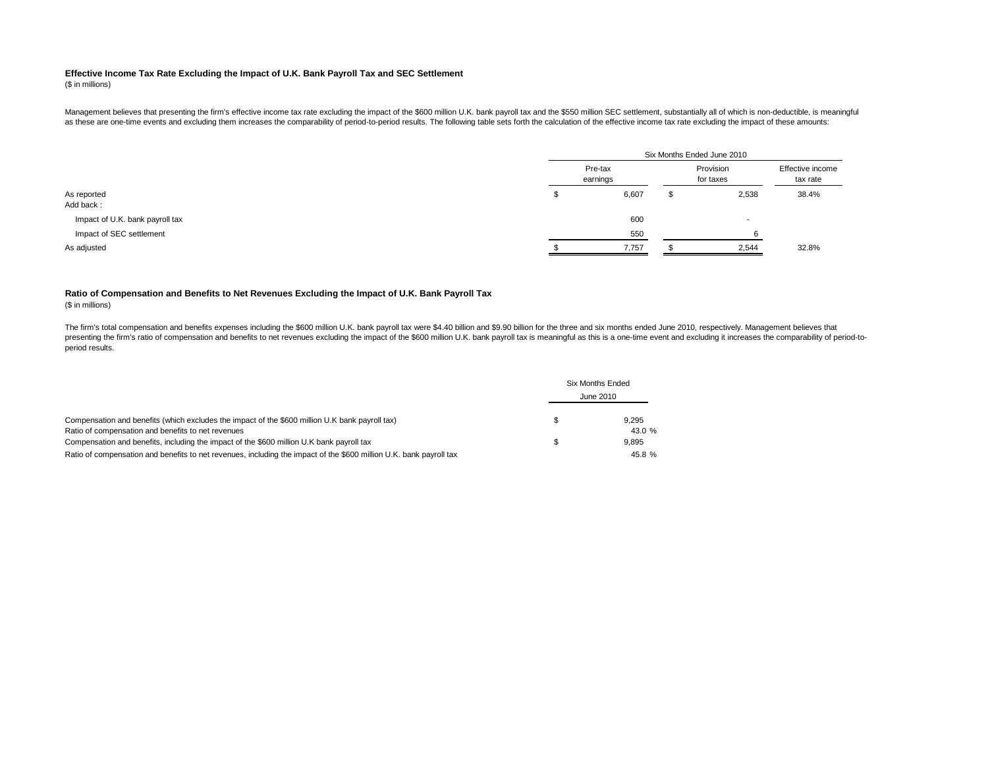## **Effective Income Tax Rate Excluding the Impact of U.K. Bank Payroll Tax and SEC Settlement**

(\$ in millions)

Management believes that presenting the firm's effective income tax rate excluding the impact of the \$600 million U.K. bank payroll tax and the \$550 million SEC settlement, substantially all of which is non-deductible, is as these are one-time events and excluding them increases the comparability of period-to-period results. The following table sets forth the calculation of the effective income tax rate excluding the impact of these amounts

|                                 |                     | Six Months Ended June 2010 |                              |
|---------------------------------|---------------------|----------------------------|------------------------------|
|                                 | Pre-tax<br>earnings | Provision<br>for taxes     | Effective income<br>tax rate |
| As reported                     | 6,607               | 2,538                      | 38.4%                        |
| Add back:                       |                     |                            |                              |
| Impact of U.K. bank payroll tax | 600                 | $\sim$                     |                              |
| Impact of SEC settlement        | 550                 |                            |                              |
| As adjusted                     | 7,757               | 2,544                      | 32.8%                        |

## **Ratio of Compensation and Benefits to Net Revenues Excluding the Impact of U.K. Bank Payroll Tax**

(\$ in millions)

The firm's total compensation and benefits expenses including the \$600 million U.K. bank payroll tax were \$4.40 billion and \$9.90 billion for the three and six months ended June 2010, respectively. Management believes that presenting the firm's ratio of compensation and benefits to net revenues excluding the impact of the \$600 million U.K. bank payroll tax is meaningful as this is a one-time event and excluding it increases the comparability period results.

|                                                                                                                     | <b>Six Months Ended</b> |
|---------------------------------------------------------------------------------------------------------------------|-------------------------|
|                                                                                                                     | June 2010               |
| Compensation and benefits (which excludes the impact of the \$600 million U.K bank payroll tax)                     | 9.295                   |
| Ratio of compensation and benefits to net revenues                                                                  | 43.0%                   |
| Compensation and benefits, including the impact of the \$600 million U.K bank payroll tax                           | 9.895                   |
| Ratio of compensation and benefits to net revenues, including the impact of the \$600 million U.K. bank payroll tax | 45.8 %                  |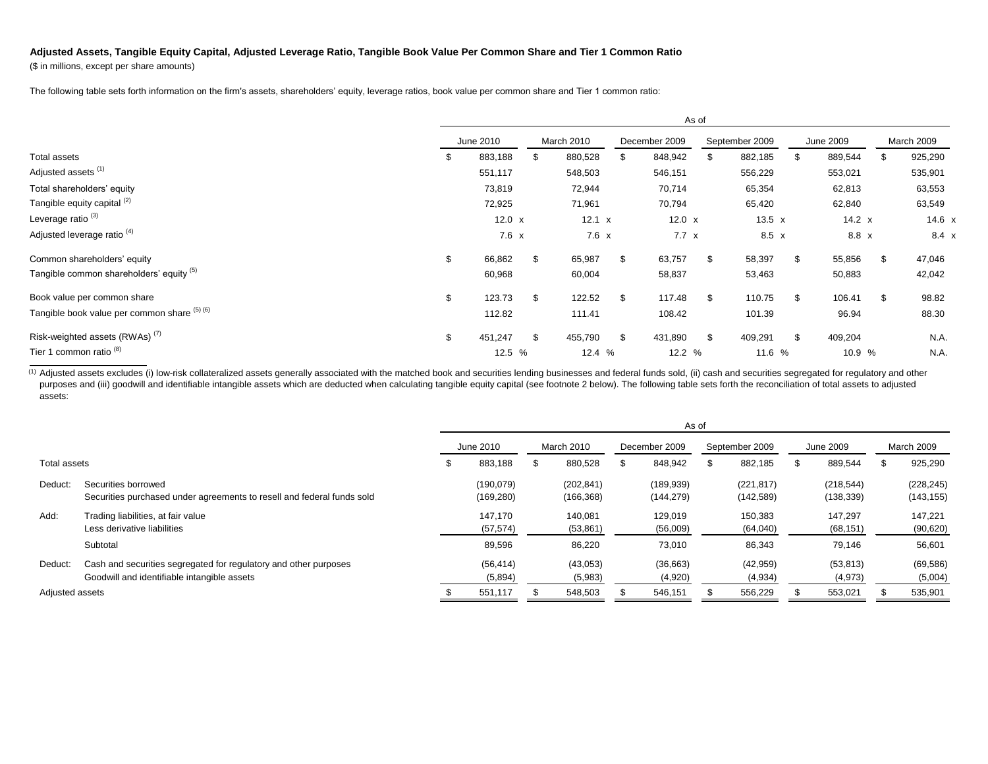## **Adjusted Assets, Tangible Equity Capital, Adjusted Leverage Ratio, Tangible Book Value Per Common Share and Tier 1 Common Ratio**

(\$ in millions, except per share amounts)

The following table sets forth information on the firm's assets, shareholders' equity, leverage ratios, book value per common share and Tier 1 common ratio:

|                                              |           |               |    |              |     |               | As of |                |    |               |     |              |
|----------------------------------------------|-----------|---------------|----|--------------|-----|---------------|-------|----------------|----|---------------|-----|--------------|
|                                              | June 2010 |               |    | March 2010   |     | December 2009 |       | September 2009 |    | June 2009     |     | March 2009   |
| Total assets                                 | \$        | 883,188       |    | 880,528      | \$  | 848,942       | \$    | 882,185        | \$ | 889,544       | \$  | 925,290      |
| Adjusted assets <sup>(1)</sup>               |           | 551,117       |    | 548,503      |     | 546,151       |       | 556,229        |    | 553,021       |     | 535,901      |
| Total shareholders' equity                   |           | 73,819        |    | 72,944       |     | 70,714        |       | 65,354         |    | 62,813        |     | 63,553       |
| Tangible equity capital <sup>(2)</sup>       |           | 72,925        |    | 71,961       |     | 70,794        |       | 65,420         |    | 62,840        |     | 63,549       |
| Leverage ratio <sup>(3)</sup>                |           | $12.0 \times$ |    | 12.1 x       |     | 12.0 $\times$ |       | 13.5 $x$       |    | $14.2 \times$ |     | 14.6 x       |
| Adjusted leverage ratio <sup>(4)</sup>       |           | $7.6 \times$  |    | $7.6 \times$ |     | $7.7 \times$  |       | $8.5 \times$   |    | $8.8 \times$  |     | $8.4 \times$ |
| Common shareholders' equity                  | \$        | 66,862        | \$ | 65,987       | \$  | 63,757        | \$    | 58,397         | \$ | 55,856        | \$  | 47,046       |
| Tangible common shareholders' equity (5)     |           | 60,968        |    | 60,004       |     | 58,837        |       | 53,463         |    | 50,883        |     | 42,042       |
| Book value per common share                  | \$        | 123.73        | \$ | 122.52       | \$  | 117.48        | \$    | 110.75         | \$ | 106.41        | \$. | 98.82        |
| Tangible book value per common share (5) (6) |           | 112.82        |    | 111.41       |     | 108.42        |       | 101.39         |    | 96.94         |     | 88.30        |
| Risk-weighted assets (RWAs) <sup>(7)</sup>   | \$        | 451,247       | \$ | 455,790      | \$. | 431,890       | \$    | 409,291        | \$ | 409,204       |     | N.A.         |
| Tier 1 common ratio <sup>(8)</sup>           |           | 12.5 %        |    | 12.4 %       |     | 12.2 %        |       | 11.6 %         |    | 10.9 %        |     | N.A.         |

<sup>(1)</sup> Adjusted assets excludes (i) low-risk collateralized assets generally associated with the matched book and securities lending businesses and federal funds sold, (ii) cash and securities segregated for regulatory and purposes and (iii) goodwill and identifiable intangible assets which are deducted when calculating tangible equity capital (see footnote 2 below). The following table sets forth the reconciliation of total assets to adjust assets:

|                 |                                                                                                                 | As of |                         |  |                          |               |                         |                |                          |           |                          |                   |                          |
|-----------------|-----------------------------------------------------------------------------------------------------------------|-------|-------------------------|--|--------------------------|---------------|-------------------------|----------------|--------------------------|-----------|--------------------------|-------------------|--------------------------|
|                 |                                                                                                                 |       | June 2010               |  | <b>March 2010</b>        | December 2009 |                         | September 2009 |                          | June 2009 |                          | <b>March 2009</b> |                          |
| Total assets    |                                                                                                                 | æ     | 883,188                 |  | 880,528                  |               | 848,942                 |                | 882,185                  | Ъ.        | 889,544                  |                   | 925,290                  |
| Deduct:         | Securities borrowed<br>Securities purchased under agreements to resell and federal funds sold                   |       | (190,079)<br>(169, 280) |  | (202, 841)<br>(166, 368) |               | (189,939)<br>(144, 279) |                | (221, 817)<br>(142, 589) |           | (218, 544)<br>(138, 339) |                   | (228, 245)<br>(143, 155) |
| Add:            | Trading liabilities, at fair value<br>Less derivative liabilities                                               |       | 147.170<br>(57, 574)    |  | 140.081<br>(53, 861)     |               | 129.019<br>(56,009)     |                | 150,383<br>(64,040)      |           | 147.297<br>(68, 151)     |                   | 147,221<br>(90, 620)     |
|                 | Subtotal                                                                                                        |       | 89,596                  |  | 86,220                   |               | 73,010                  |                | 86,343                   |           | 79,146                   |                   | 56,601                   |
| Deduct:         | Cash and securities segregated for regulatory and other purposes<br>Goodwill and identifiable intangible assets |       | (56, 414)<br>(5,894)    |  | (43,053)<br>(5,983)      |               | (36,663)<br>(4,920)     |                | (42, 959)<br>(4,934)     |           | (53, 813)<br>(4, 973)    |                   | (69, 586)<br>(5,004)     |
| Adjusted assets |                                                                                                                 |       | 551,117                 |  | 548,503                  |               | 546,151                 |                | 556,229                  |           | 553,021                  |                   | 535,901                  |